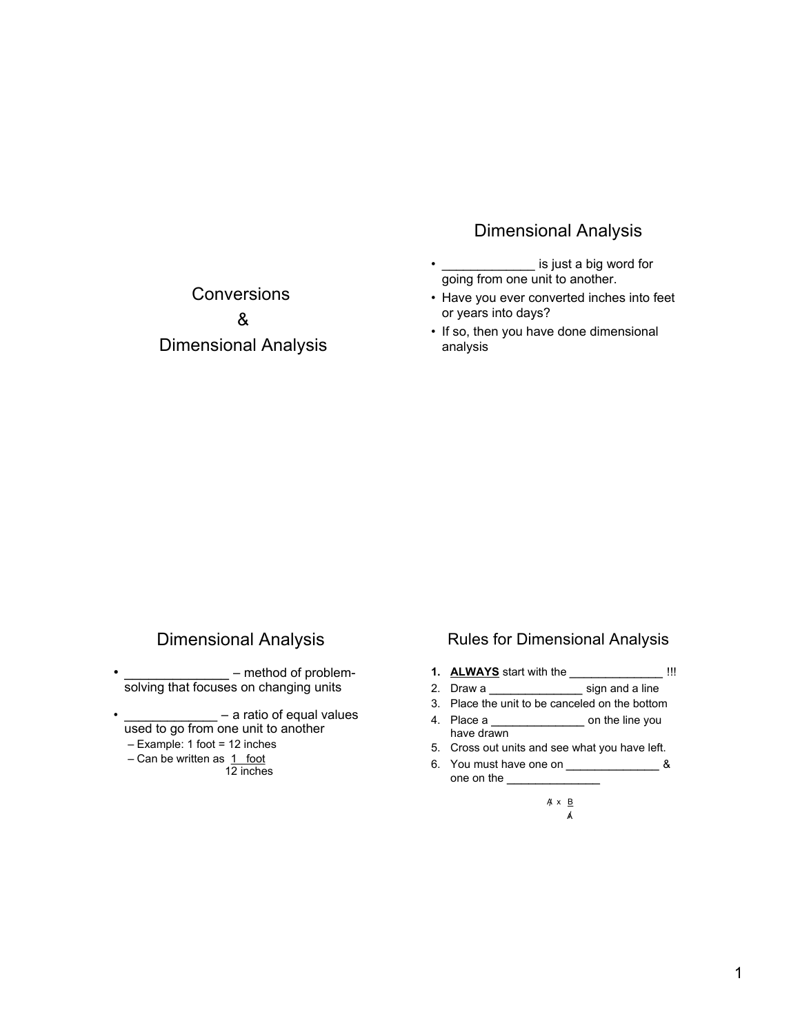### Dimensional Analysis

- is just a big word for going from one unit to another.
- Have you ever converted inches into feet or years into days?
- If so, then you have done dimensional analysis

Conversions & Dimensional Analysis

## Dimensional Analysis

- \_\_\_\_\_\_\_\_\_\_\_\_\_\_\_\_ method of problemsolving that focuses on changing units
- $-$  a ratio of equal values used to go from one unit to another
	- Example: 1 foot = 12 inches
	- $-$  Can be written as  $1$  foot
		- 12 inches

#### Rules for Dimensional Analysis

- **1. ALWAYS** start with the \_\_\_\_\_\_\_\_\_\_\_\_\_ !!!
- 2. Draw a \_\_\_\_\_\_\_\_\_\_\_\_\_\_\_\_\_\_\_\_\_ sign and a line
- 3. Place the unit to be canceled on the bottom
- 4. Place a \_\_\_\_\_\_\_\_\_\_\_\_\_\_\_\_\_\_\_ on the line you have drawn
- 5. Cross out units and see what you have left.
- 6. You must have one on  $\frac{1}{2}$  & one on the
	- A x B / A /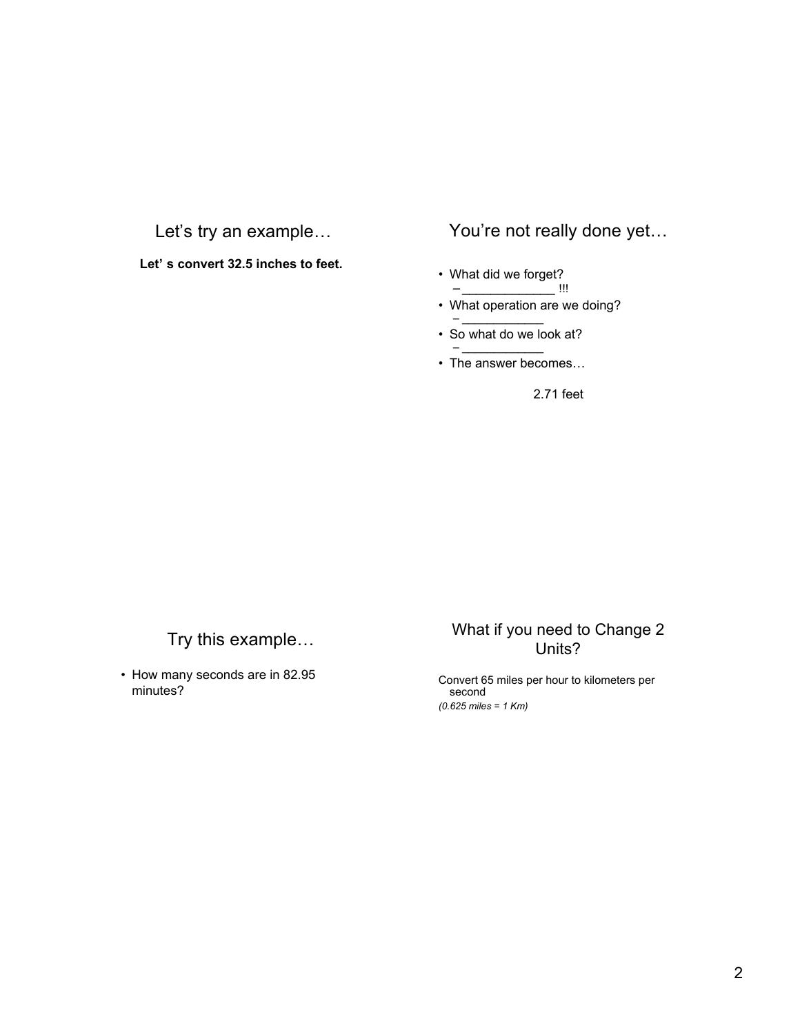## Let's try an example…

**Let' s convert 32.5 inches to feet.**

### You're not really done yet…

- What did we forget? – \_\_\_\_\_\_\_\_\_\_\_\_\_ !!!
- What operation are we doing?
- $-$ • So what do we look at? – \_\_\_\_\_\_\_\_\_\_\_\_\_
- The answer becomes…

2.71 feet

## Try this example…

• How many seconds are in 82.95 minutes?

#### What if you need to Change 2 Units?

Convert 65 miles per hour to kilometers per second *(0.625 miles = 1 Km)*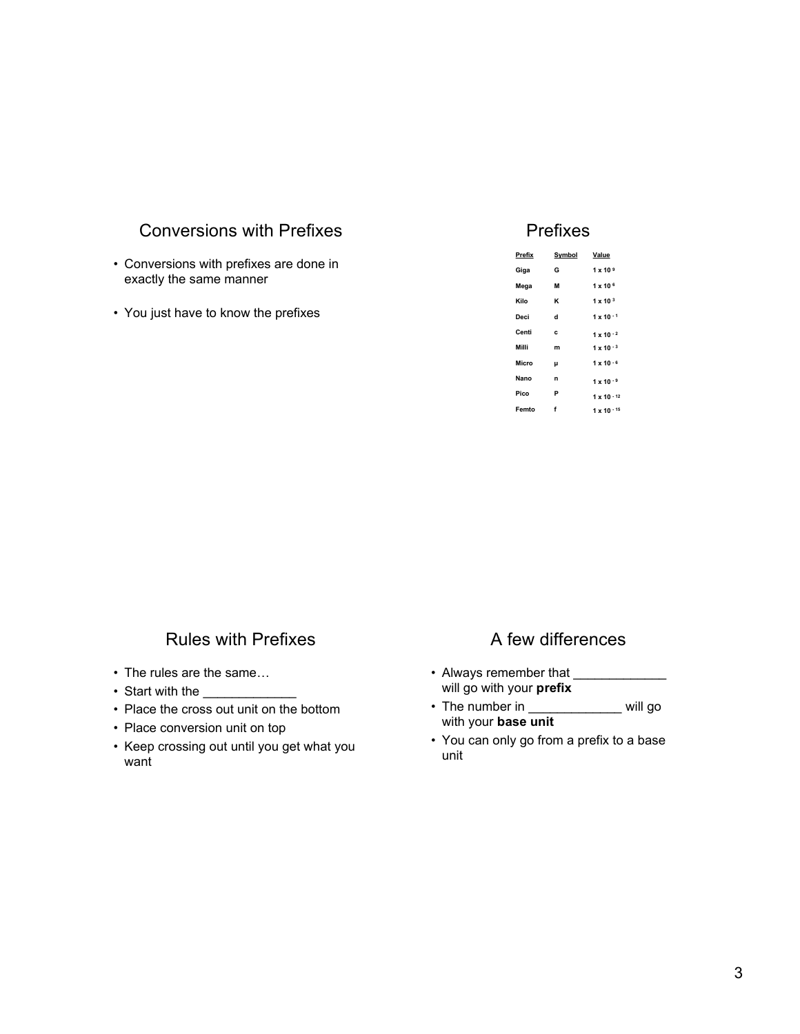### Conversions with Prefixes

- Conversions with prefixes are done in exactly the same manner
- You just have to know the prefixes

#### Prefixes

| Prefix | Symbol | Value               |
|--------|--------|---------------------|
| Giga   | G      | $1 \times 10^{9}$   |
| Mega   | М      | $1 \times 10^{6}$   |
| Kilo   | ĸ      | $1 \times 10^{3}$   |
| Deci   | d      | $1 \times 10^{-1}$  |
| Centi  | c      | $1 \times 10^{-2}$  |
| Milli  | m      | $1 \times 10^{-3}$  |
| Micro  | μ      | $1 \times 10^{-6}$  |
| Nano   | n      | $1 \times 10^{-9}$  |
| Pico   | P      | $1 \times 10^{-12}$ |
| Femto  | f      | $1 \times 10^{-15}$ |
|        |        |                     |

#### Rules with Prefixes

- The rules are the same…
- Start with the
- Place the cross out unit on the bottom
- Place conversion unit on top
- Keep crossing out until you get what you want

#### A few differences

- Always remember that \_\_\_\_\_\_\_\_\_\_\_\_\_\_\_\_ will go with your **prefix**
- The number in \_\_\_\_\_\_\_\_\_\_\_\_\_\_ will go with your **base unit**
- You can only go from a prefix to a base unit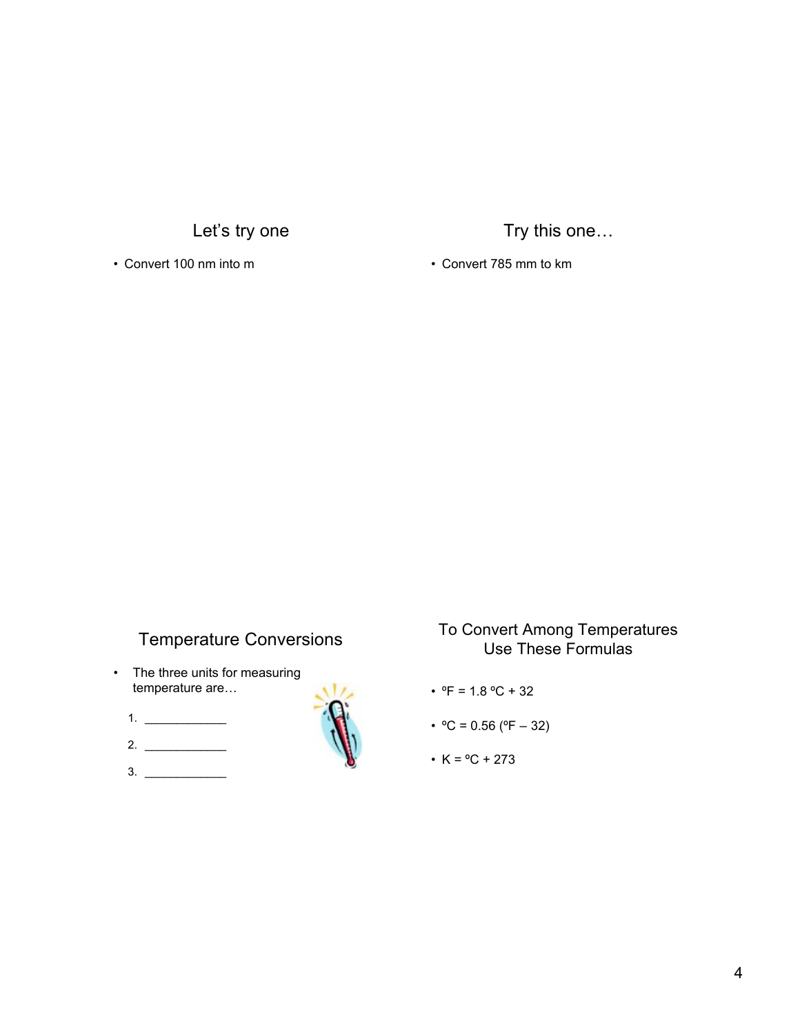Let's try one

• Convert 100 nm into m

Try this one…

• Convert 785 mm to km

## Temperature Conversions

- The three units for measuring temperature are…
	- $1.$   $\frac{1}{2}$   $\frac{1}{2}$   $\frac{1}{2}$   $\frac{1}{2}$   $\frac{1}{2}$   $\frac{1}{2}$   $\frac{1}{2}$   $\frac{1}{2}$   $\frac{1}{2}$   $\frac{1}{2}$   $\frac{1}{2}$   $\frac{1}{2}$   $\frac{1}{2}$   $\frac{1}{2}$   $\frac{1}{2}$   $\frac{1}{2}$   $\frac{1}{2}$   $\frac{1}{2}$   $\frac{1}{2}$   $\frac{1}{2}$   $\frac{1}{2}$   $\frac{1}{$
	- 2. \_\_\_\_\_\_\_\_\_\_\_\_\_
	- $3.$



### To Convert Among Temperatures Use These Formulas

- ${}^{\circ}F$  = 1.8  ${}^{\circ}C$  + 32
- $^{\circ}$ C = 0.56 ( $^{\circ}$ F 32)
- $K = {}^{o}C + 273$